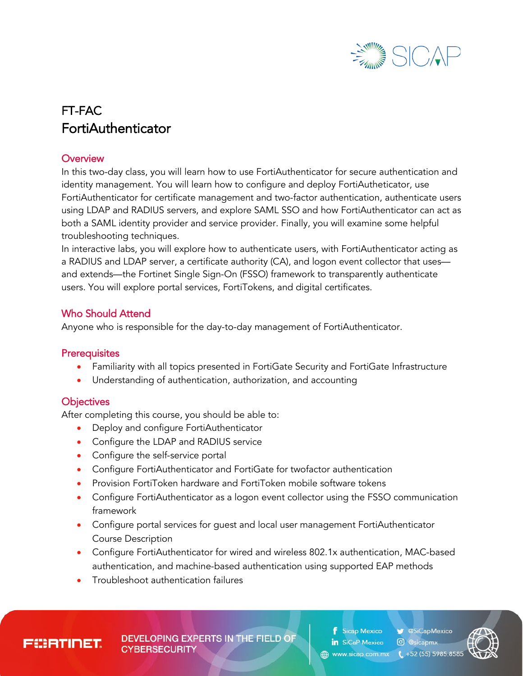

# FT-FAC FortiAuthenticator

#### **Overview**

In this two-day class, you will learn how to use FortiAuthenticator for secure authentication and identity management. You will learn how to configure and deploy FortiAutheticator, use FortiAuthenticator for certificate management and two-factor authentication, authenticate users using LDAP and RADIUS servers, and explore SAML SSO and how FortiAuthenticator can act as both a SAML identity provider and service provider. Finally, you will examine some helpful troubleshooting techniques.

In interactive labs, you will explore how to authenticate users, with FortiAuthenticator acting as a RADIUS and LDAP server, a certificate authority (CA), and logon event collector that uses and extends—the Fortinet Single Sign-On (FSSO) framework to transparently authenticate users. You will explore portal services, FortiTokens, and digital certificates.

#### Who Should Attend

Anyone who is responsible for the day-to-day management of FortiAuthenticator.

#### **Prerequisites**

- Familiarity with all topics presented in FortiGate Security and FortiGate Infrastructure
- Understanding of authentication, authorization, and accounting

#### **Objectives**

After completing this course, you should be able to:

- Deploy and configure FortiAuthenticator
- Configure the LDAP and RADIUS service
- Configure the self-service portal
- Configure FortiAuthenticator and FortiGate for twofactor authentication
- Provision FortiToken hardware and FortiToken mobile software tokens
- Configure FortiAuthenticator as a logon event collector using the FSSO communication framework
- Configure portal services for guest and local user management FortiAuthenticator Course Description
- Configure FortiAuthenticator for wired and wireless 802.1x authentication, MAC-based authentication, and machine-based authentication using supported EAP methods
- Troubleshoot authentication failures

**FEERTINET** 

**DEVELOPING EXPERTS IN THE FIELD OF CYBERSECURITY** 

**f** Sicap Mexico in SiCaP Mexico 4 www.sicap.com.mx ( +52 (55) 5985.8585